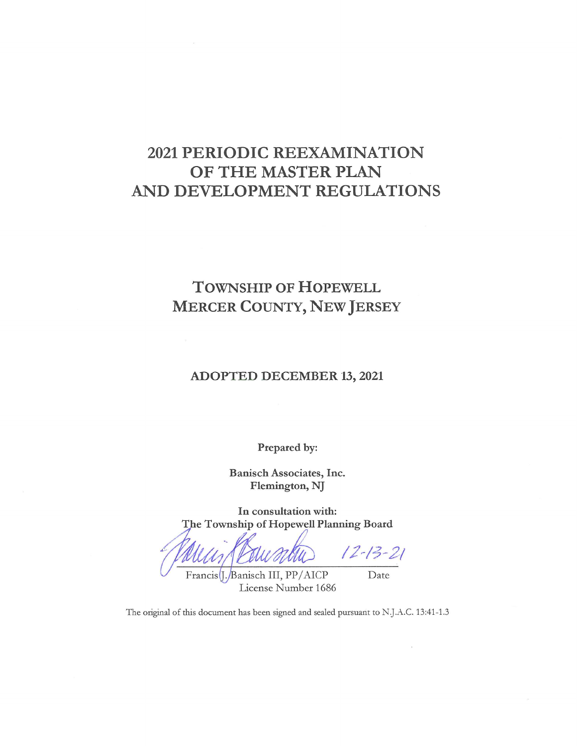# 2021 PERIODIC REEXAMINATION OF THE MASTER PLAN AND DEVELOPMENT REGULATIONS

# **TOWNSHIP OF HOPEWELL MERCER COUNTY, NEW JERSEY**

### **ADOPTED DECEMBER 13, 2021**

Prepared by:

Banisch Associates, Inc. Flemington, NJ

In consultation with: The Township of Hopewell Planning Board

 $12 - 13 - 21$ Francis(J./Banisch III, PP/AICP

License Number 1686

Date

The original of this document has been signed and sealed pursuant to N.J.A.C. 13:41-1.3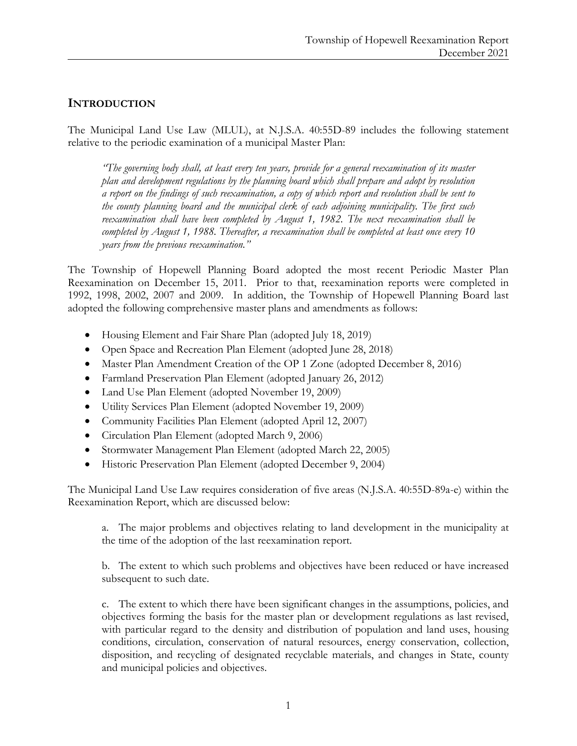# **INTRODUCTION**

The Municipal Land Use Law (MLUL), at N.J.S.A. 40:55D-89 includes the following statement relative to the periodic examination of a municipal Master Plan:

*"The governing body shall, at least every ten years, provide for a general reexamination of its master plan and development regulations by the planning board which shall prepare and adopt by resolution a report on the findings of such reexamination, a copy of which report and resolution shall be sent to the county planning board and the municipal clerk of each adjoining municipality. The first such reexamination shall have been completed by August 1, 1982. The next reexamination shall be completed by August 1, 1988. Thereafter, a reexamination shall be completed at least once every 10 years from the previous reexamination."*

The Township of Hopewell Planning Board adopted the most recent Periodic Master Plan Reexamination on December 15, 2011. Prior to that, reexamination reports were completed in 1992, 1998, 2002, 2007 and 2009. In addition, the Township of Hopewell Planning Board last adopted the following comprehensive master plans and amendments as follows:

- Housing Element and Fair Share Plan (adopted July 18, 2019)
- Open Space and Recreation Plan Element (adopted June 28, 2018)
- Master Plan Amendment Creation of the OP 1 Zone (adopted December 8, 2016)
- Farmland Preservation Plan Element (adopted January 26, 2012)
- Land Use Plan Element (adopted November 19, 2009)
- Utility Services Plan Element (adopted November 19, 2009)
- Community Facilities Plan Element (adopted April 12, 2007)
- Circulation Plan Element (adopted March 9, 2006)
- Stormwater Management Plan Element (adopted March 22, 2005)
- Historic Preservation Plan Element (adopted December 9, 2004)

The Municipal Land Use Law requires consideration of five areas (N.J.S.A. 40:55D-89a-e) within the Reexamination Report, which are discussed below:

a. The major problems and objectives relating to land development in the municipality at the time of the adoption of the last reexamination report.

b. The extent to which such problems and objectives have been reduced or have increased subsequent to such date.

c. The extent to which there have been significant changes in the assumptions, policies, and objectives forming the basis for the master plan or development regulations as last revised, with particular regard to the density and distribution of population and land uses, housing conditions, circulation, conservation of natural resources, energy conservation, collection, disposition, and recycling of designated recyclable materials, and changes in State, county and municipal policies and objectives.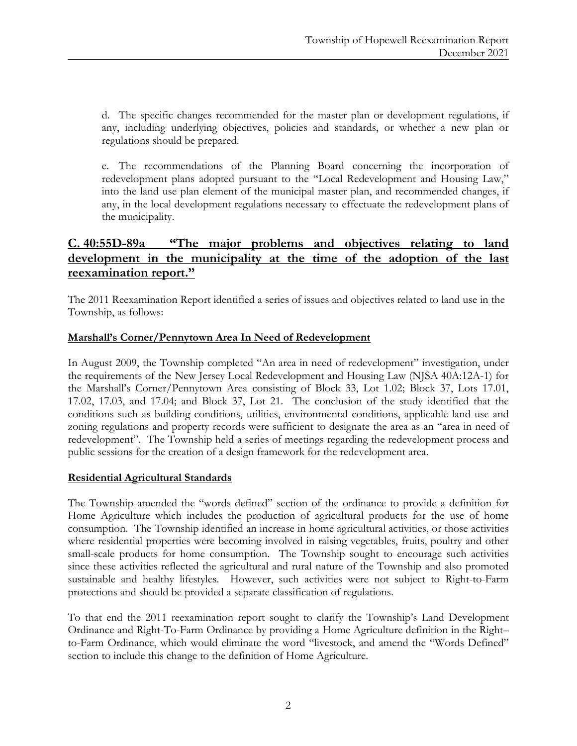d. The specific changes recommended for the master plan or development regulations, if any, including underlying objectives, policies and standards, or whether a new plan or regulations should be prepared.

e. The recommendations of the Planning Board concerning the incorporation of redevelopment plans adopted pursuant to the "Local Redevelopment and Housing Law," into the land use plan element of the municipal master plan, and recommended changes, if any, in the local development regulations necessary to effectuate the redevelopment plans of the municipality.

# **C. 40:55D-89a "The major problems and objectives relating to land development in the municipality at the time of the adoption of the last reexamination report."**

The 2011 Reexamination Report identified a series of issues and objectives related to land use in the Township, as follows:

# **Marshall's Corner/Pennytown Area In Need of Redevelopment**

In August 2009, the Township completed "An area in need of redevelopment" investigation, under the requirements of the New Jersey Local Redevelopment and Housing Law (NJSA 40A:12A-1) for the Marshall's Corner/Pennytown Area consisting of Block 33, Lot 1.02; Block 37, Lots 17.01, 17.02, 17.03, and 17.04; and Block 37, Lot 21. The conclusion of the study identified that the conditions such as building conditions, utilities, environmental conditions, applicable land use and zoning regulations and property records were sufficient to designate the area as an "area in need of redevelopment". The Township held a series of meetings regarding the redevelopment process and public sessions for the creation of a design framework for the redevelopment area.

# **Residential Agricultural Standards**

The Township amended the "words defined" section of the ordinance to provide a definition for Home Agriculture which includes the production of agricultural products for the use of home consumption. The Township identified an increase in home agricultural activities, or those activities where residential properties were becoming involved in raising vegetables, fruits, poultry and other small-scale products for home consumption. The Township sought to encourage such activities since these activities reflected the agricultural and rural nature of the Township and also promoted sustainable and healthy lifestyles. However, such activities were not subject to Right-to-Farm protections and should be provided a separate classification of regulations.

To that end the 2011 reexamination report sought to clarify the Township's Land Development Ordinance and Right-To-Farm Ordinance by providing a Home Agriculture definition in the Right– to-Farm Ordinance, which would eliminate the word "livestock, and amend the "Words Defined" section to include this change to the definition of Home Agriculture.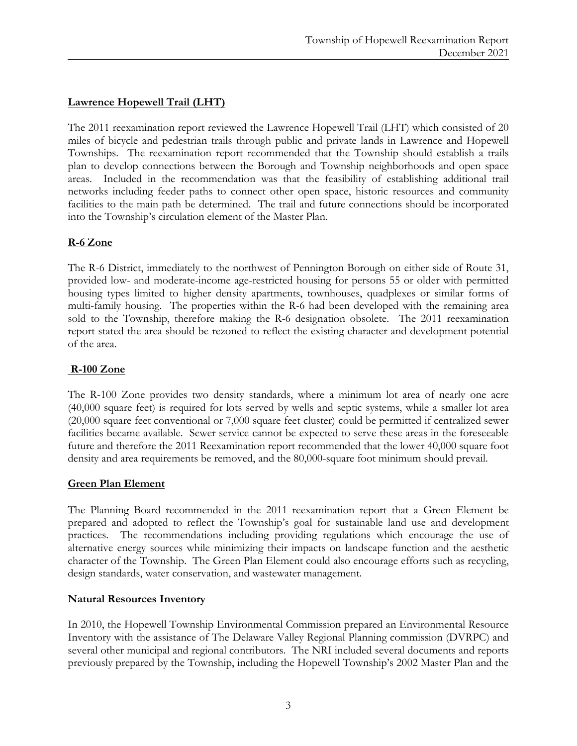# **Lawrence Hopewell Trail (LHT)**

The 2011 reexamination report reviewed the Lawrence Hopewell Trail (LHT) which consisted of 20 miles of bicycle and pedestrian trails through public and private lands in Lawrence and Hopewell Townships. The reexamination report recommended that the Township should establish a trails plan to develop connections between the Borough and Township neighborhoods and open space areas. Included in the recommendation was that the feasibility of establishing additional trail networks including feeder paths to connect other open space, historic resources and community facilities to the main path be determined. The trail and future connections should be incorporated into the Township's circulation element of the Master Plan.

#### **R-6 Zone**

The R-6 District, immediately to the northwest of Pennington Borough on either side of Route 31, provided low- and moderate-income age-restricted housing for persons 55 or older with permitted housing types limited to higher density apartments, townhouses, quadplexes or similar forms of multi-family housing. The properties within the R-6 had been developed with the remaining area sold to the Township, therefore making the R-6 designation obsolete. The 2011 reexamination report stated the area should be rezoned to reflect the existing character and development potential of the area.

#### **R-100 Zone**

The R-100 Zone provides two density standards, where a minimum lot area of nearly one acre (40,000 square feet) is required for lots served by wells and septic systems, while a smaller lot area (20,000 square feet conventional or 7,000 square feet cluster) could be permitted if centralized sewer facilities became available. Sewer service cannot be expected to serve these areas in the foreseeable future and therefore the 2011 Reexamination report recommended that the lower 40,000 square foot density and area requirements be removed, and the 80,000-square foot minimum should prevail.

#### **Green Plan Element**

The Planning Board recommended in the 2011 reexamination report that a Green Element be prepared and adopted to reflect the Township's goal for sustainable land use and development practices. The recommendations including providing regulations which encourage the use of alternative energy sources while minimizing their impacts on landscape function and the aesthetic character of the Township. The Green Plan Element could also encourage efforts such as recycling, design standards, water conservation, and wastewater management.

#### **Natural Resources Inventory**

In 2010, the Hopewell Township Environmental Commission prepared an Environmental Resource Inventory with the assistance of The Delaware Valley Regional Planning commission (DVRPC) and several other municipal and regional contributors. The NRI included several documents and reports previously prepared by the Township, including the Hopewell Township's 2002 Master Plan and the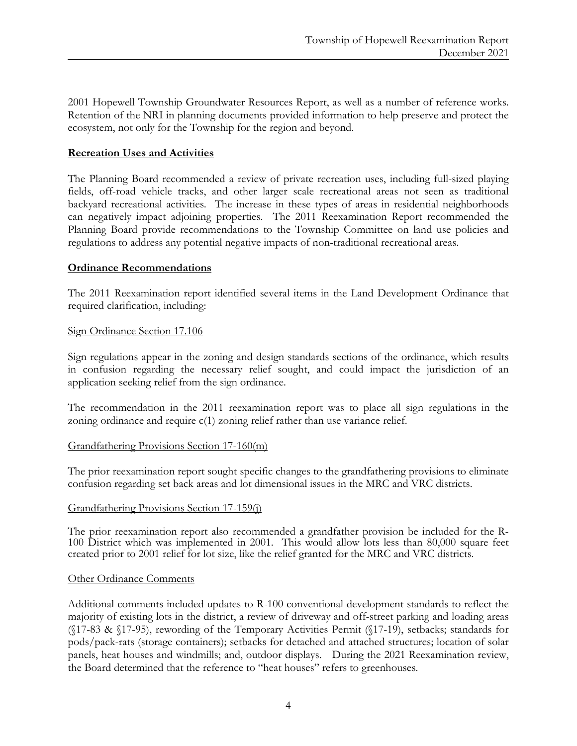2001 Hopewell Township Groundwater Resources Report, as well as a number of reference works. Retention of the NRI in planning documents provided information to help preserve and protect the ecosystem, not only for the Township for the region and beyond.

### **Recreation Uses and Activities**

The Planning Board recommended a review of private recreation uses, including full-sized playing fields, off-road vehicle tracks, and other larger scale recreational areas not seen as traditional backyard recreational activities. The increase in these types of areas in residential neighborhoods can negatively impact adjoining properties. The 2011 Reexamination Report recommended the Planning Board provide recommendations to the Township Committee on land use policies and regulations to address any potential negative impacts of non-traditional recreational areas.

#### **Ordinance Recommendations**

The 2011 Reexamination report identified several items in the Land Development Ordinance that required clarification, including:

#### Sign Ordinance Section 17.106

Sign regulations appear in the zoning and design standards sections of the ordinance, which results in confusion regarding the necessary relief sought, and could impact the jurisdiction of an application seeking relief from the sign ordinance.

The recommendation in the 2011 reexamination report was to place all sign regulations in the zoning ordinance and require c(1) zoning relief rather than use variance relief.

#### Grandfathering Provisions Section 17-160(m)

The prior reexamination report sought specific changes to the grandfathering provisions to eliminate confusion regarding set back areas and lot dimensional issues in the MRC and VRC districts.

#### Grandfathering Provisions Section 17-159(j)

The prior reexamination report also recommended a grandfather provision be included for the R- 100 District which was implemented in 2001. This would allow lots less than 80,000 square feet created prior to 2001 relief for lot size, like the relief granted for the MRC and VRC districts.

#### Other Ordinance Comments

Additional comments included updates to R-100 conventional development standards to reflect the majority of existing lots in the district, a review of driveway and off-street parking and loading areas (§17-83 & §17-95), rewording of the Temporary Activities Permit (§17-19), setbacks; standards for pods/pack-rats (storage containers); setbacks for detached and attached structures; location of solar panels, heat houses and windmills; and, outdoor displays. During the 2021 Reexamination review, the Board determined that the reference to "heat houses" refers to greenhouses.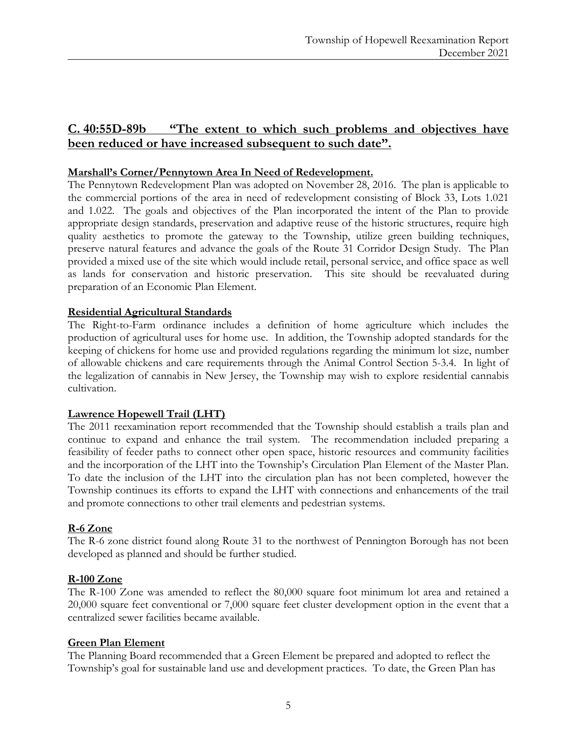# **C. 40:55D-89b "The extent to which such problems and objectives have been reduced or have increased subsequent to such date".**

# **Marshall's Corner/Pennytown Area In Need of Redevelopment.**

The Pennytown Redevelopment Plan was adopted on November 28, 2016. The plan is applicable to the commercial portions of the area in need of redevelopment consisting of Block 33, Lots 1.021 and 1.022. The goals and objectives of the Plan incorporated the intent of the Plan to provide appropriate design standards, preservation and adaptive reuse of the historic structures, require high quality aesthetics to promote the gateway to the Township, utilize green building techniques, preserve natural features and advance the goals of the Route 31 Corridor Design Study. The Plan provided a mixed use of the site which would include retail, personal service, and office space as well as lands for conservation and historic preservation. This site should be reevaluated during preparation of an Economic Plan Element.

# **Residential Agricultural Standards**

The Right-to-Farm ordinance includes a definition of home agriculture which includes the production of agricultural uses for home use. In addition, the Township adopted standards for the keeping of chickens for home use and provided regulations regarding the minimum lot size, number of allowable chickens and care requirements through the Animal Control Section 5-3.4. In light of the legalization of cannabis in New Jersey, the Township may wish to explore residential cannabis cultivation.

# **Lawrence Hopewell Trail (LHT)**

The 2011 reexamination report recommended that the Township should establish a trails plan and continue to expand and enhance the trail system. The recommendation included preparing a feasibility of feeder paths to connect other open space, historic resources and community facilities and the incorporation of the LHT into the Township's Circulation Plan Element of the Master Plan. To date the inclusion of the LHT into the circulation plan has not been completed, however the Township continues its efforts to expand the LHT with connections and enhancements of the trail and promote connections to other trail elements and pedestrian systems.

# **R-6 Zone**

The R-6 zone district found along Route 31 to the northwest of Pennington Borough has not been developed as planned and should be further studied.

# **R-100 Zone**

The R-100 Zone was amended to reflect the 80,000 square foot minimum lot area and retained a 20,000 square feet conventional or 7,000 square feet cluster development option in the event that a centralized sewer facilities became available.

# **Green Plan Element**

The Planning Board recommended that a Green Element be prepared and adopted to reflect the Township's goal for sustainable land use and development practices. To date, the Green Plan has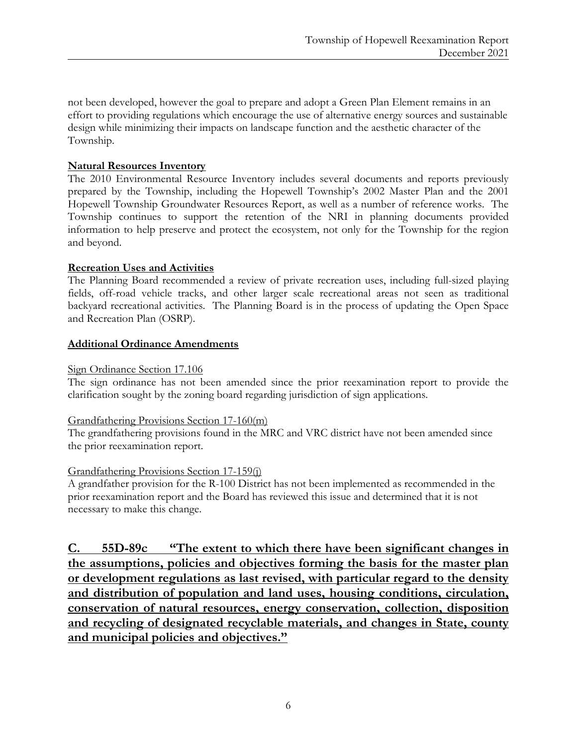not been developed, however the goal to prepare and adopt a Green Plan Element remains in an effort to providing regulations which encourage the use of alternative energy sources and sustainable design while minimizing their impacts on landscape function and the aesthetic character of the Township.

# **Natural Resources Inventory**

The 2010 Environmental Resource Inventory includes several documents and reports previously prepared by the Township, including the Hopewell Township's 2002 Master Plan and the 2001 Hopewell Township Groundwater Resources Report, as well as a number of reference works. The Township continues to support the retention of the NRI in planning documents provided information to help preserve and protect the ecosystem, not only for the Township for the region and beyond.

# **Recreation Uses and Activities**

The Planning Board recommended a review of private recreation uses, including full-sized playing fields, off-road vehicle tracks, and other larger scale recreational areas not seen as traditional backyard recreational activities. The Planning Board is in the process of updating the Open Space and Recreation Plan (OSRP).

# **Additional Ordinance Amendments**

# Sign Ordinance Section 17.106

The sign ordinance has not been amended since the prior reexamination report to provide the clarification sought by the zoning board regarding jurisdiction of sign applications.

# Grandfathering Provisions Section 17-160(m)

The grandfathering provisions found in the MRC and VRC district have not been amended since the prior reexamination report.

# Grandfathering Provisions Section 17-159(j)

A grandfather provision for the R-100 District has not been implemented as recommended in the prior reexamination report and the Board has reviewed this issue and determined that it is not necessary to make this change.

**C. 55D-89c "The extent to which there have been significant changes in the assumptions, policies and objectives forming the basis for the master plan or development regulations as last revised, with particular regard to the density and distribution of population and land uses, housing conditions, circulation, conservation of natural resources, energy conservation, collection, disposition and recycling of designated recyclable materials, and changes in State, county and municipal policies and objectives."**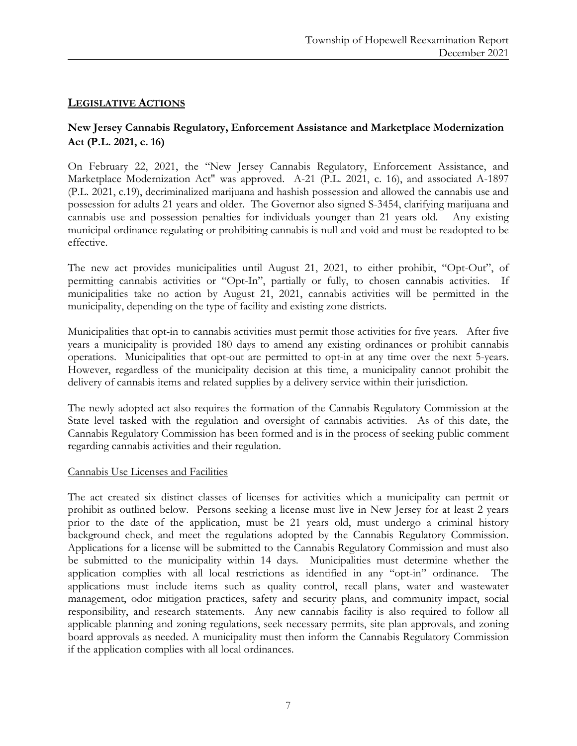# **LEGISLATIVE ACTIONS**

# **New Jersey Cannabis Regulatory, Enforcement Assistance and Marketplace Modernization Act (P.L. 2021, c. 16)**

On February 22, 2021, the "New Jersey Cannabis Regulatory, Enforcement Assistance, and Marketplace Modernization Act" was approved. A-21 (P.L. 2021, c. 16), and associated A-1897 (P.L. 2021, c.19), decriminalized marijuana and hashish possession and allowed the cannabis use and possession for adults 21 years and older. The Governor also signed S-3454, clarifying marijuana and cannabis use and possession penalties for individuals younger than 21 years old. Any existing municipal ordinance regulating or prohibiting cannabis is null and void and must be readopted to be effective.

The new act provides municipalities until August 21, 2021, to either prohibit, "Opt-Out", of permitting cannabis activities or "Opt-In", partially or fully, to chosen cannabis activities. If municipalities take no action by August 21, 2021, cannabis activities will be permitted in the municipality, depending on the type of facility and existing zone districts.

Municipalities that opt-in to cannabis activities must permit those activities for five years. After five years a municipality is provided 180 days to amend any existing ordinances or prohibit cannabis operations. Municipalities that opt-out are permitted to opt-in at any time over the next 5-years. However, regardless of the municipality decision at this time, a municipality cannot prohibit the delivery of cannabis items and related supplies by a delivery service within their jurisdiction.

The newly adopted act also requires the formation of the Cannabis Regulatory Commission at the State level tasked with the regulation and oversight of cannabis activities. As of this date, the Cannabis Regulatory Commission has been formed and is in the process of seeking public comment regarding cannabis activities and their regulation.

#### Cannabis Use Licenses and Facilities

The act created six distinct classes of licenses for activities which a municipality can permit or prohibit as outlined below. Persons seeking a license must live in New Jersey for at least 2 years prior to the date of the application, must be 21 years old, must undergo a criminal history background check, and meet the regulations adopted by the Cannabis Regulatory Commission. Applications for a license will be submitted to the Cannabis Regulatory Commission and must also be submitted to the municipality within 14 days. Municipalities must determine whether the application complies with all local restrictions as identified in any "opt-in" ordinance. The applications must include items such as quality control, recall plans, water and wastewater management, odor mitigation practices, safety and security plans, and community impact, social responsibility, and research statements. Any new cannabis facility is also required to follow all applicable planning and zoning regulations, seek necessary permits, site plan approvals, and zoning board approvals as needed. A municipality must then inform the Cannabis Regulatory Commission if the application complies with all local ordinances.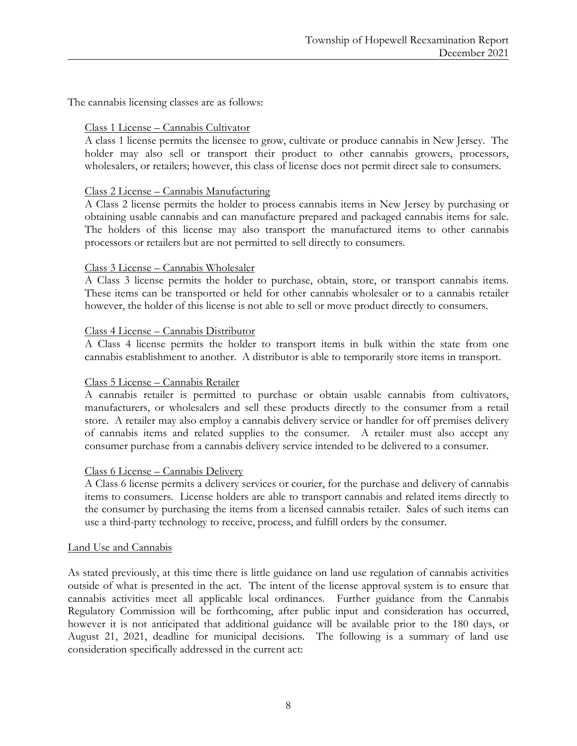The cannabis licensing classes are as follows:

#### Class 1 License – Cannabis Cultivator

A class 1 license permits the licensee to grow, cultivate or produce cannabis in New Jersey. The holder may also sell or transport their product to other cannabis growers, processors, wholesalers, or retailers; however, this class of license does not permit direct sale to consumers.

#### Class 2 License – Cannabis Manufacturing

A Class 2 license permits the holder to process cannabis items in New Jersey by purchasing or obtaining usable cannabis and can manufacture prepared and packaged cannabis items for sale. The holders of this license may also transport the manufactured items to other cannabis processors or retailers but are not permitted to sell directly to consumers.

#### Class 3 License – Cannabis Wholesaler

A Class 3 license permits the holder to purchase, obtain, store, or transport cannabis items. These items can be transported or held for other cannabis wholesaler or to a cannabis retailer however, the holder of this license is not able to sell or move product directly to consumers.

#### Class 4 License – Cannabis Distributor

A Class 4 license permits the holder to transport items in bulk within the state from one cannabis establishment to another. A distributor is able to temporarily store items in transport.

# Class 5 License – Cannabis Retailer

A cannabis retailer is permitted to purchase or obtain usable cannabis from cultivators, manufacturers, or wholesalers and sell these products directly to the consumer from a retail store. A retailer may also employ a cannabis delivery service or handler for off premises delivery of cannabis items and related supplies to the consumer. A retailer must also accept any consumer purchase from a cannabis delivery service intended to be delivered to a consumer.

#### Class 6 License – Cannabis Delivery

A Class 6 license permits a delivery services or courier, for the purchase and delivery of cannabis items to consumers. License holders are able to transport cannabis and related items directly to the consumer by purchasing the items from a licensed cannabis retailer. Sales of such items can use a third-party technology to receive, process, and fulfill orders by the consumer.

#### Land Use and Cannabis

As stated previously, at this time there is little guidance on land use regulation of cannabis activities outside of what is presented in the act. The intent of the license approval system is to ensure that cannabis activities meet all applicable local ordinances. Further guidance from the Cannabis Regulatory Commission will be forthcoming, after public input and consideration has occurred, however it is not anticipated that additional guidance will be available prior to the 180 days, or August 21, 2021, deadline for municipal decisions. The following is a summary of land use consideration specifically addressed in the current act: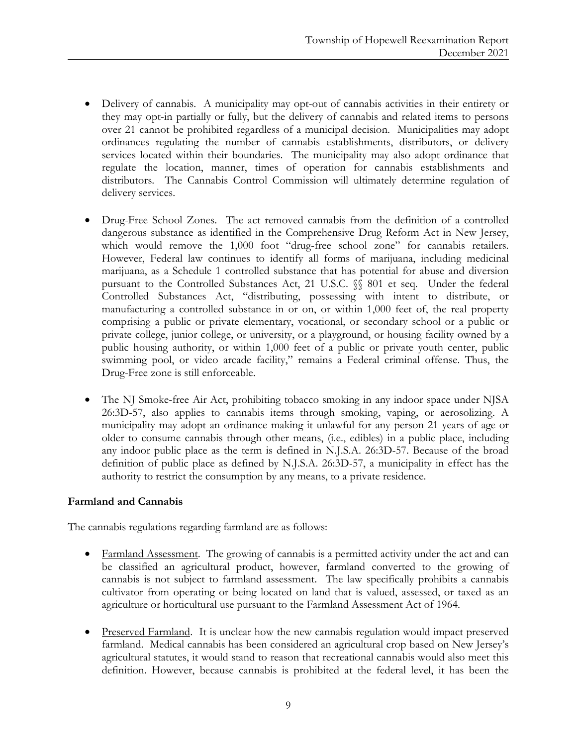- Delivery of cannabis. A municipality may opt-out of cannabis activities in their entirety or they may opt-in partially or fully, but the delivery of cannabis and related items to persons over 21 cannot be prohibited regardless of a municipal decision. Municipalities may adopt ordinances regulating the number of cannabis establishments, distributors, or delivery services located within their boundaries. The municipality may also adopt ordinance that regulate the location, manner, times of operation for cannabis establishments and distributors. The Cannabis Control Commission will ultimately determine regulation of delivery services.
- Drug-Free School Zones. The act removed cannabis from the definition of a controlled dangerous substance as identified in the Comprehensive Drug Reform Act in New Jersey, which would remove the 1,000 foot "drug-free school zone" for cannabis retailers. However, Federal law continues to identify all forms of marijuana, including medicinal marijuana, as a Schedule 1 controlled substance that has potential for abuse and diversion pursuant to the Controlled Substances Act, 21 U.S.C. §§ 801 et seq. Under the federal Controlled Substances Act, "distributing, possessing with intent to distribute, or manufacturing a controlled substance in or on, or within 1,000 feet of, the real property comprising a public or private elementary, vocational, or secondary school or a public or private college, junior college, or university, or a playground, or housing facility owned by a public housing authority, or within 1,000 feet of a public or private youth center, public swimming pool, or video arcade facility," remains a Federal criminal offense. Thus, the Drug-Free zone is still enforceable.
- The NJ Smoke-free Air Act, prohibiting tobacco smoking in any indoor space under NJSA 26:3D-57, also applies to cannabis items through smoking, vaping, or aerosolizing. A municipality may adopt an ordinance making it unlawful for any person 21 years of age or older to consume cannabis through other means, (i.e., edibles) in a public place, including any indoor public place as the term is defined in N.J.S.A. 26:3D-57. Because of the broad definition of public place as defined by N.J.S.A. 26:3D-57, a municipality in effect has the authority to restrict the consumption by any means, to a private residence.

# **Farmland and Cannabis**

The cannabis regulations regarding farmland are as follows:

- Farmland Assessment. The growing of cannabis is a permitted activity under the act and can be classified an agricultural product, however, farmland converted to the growing of cannabis is not subject to farmland assessment. The law specifically prohibits a cannabis cultivator from operating or being located on land that is valued, assessed, or taxed as an agriculture or horticultural use pursuant to the Farmland Assessment Act of 1964.
- Preserved Farmland. It is unclear how the new cannabis regulation would impact preserved farmland. Medical cannabis has been considered an agricultural crop based on New Jersey's agricultural statutes, it would stand to reason that recreational cannabis would also meet this definition. However, because cannabis is prohibited at the federal level, it has been the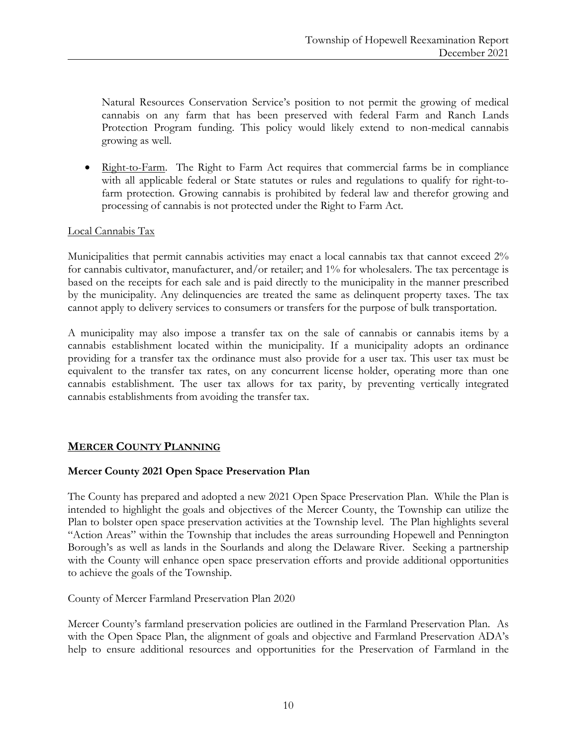Natural Resources Conservation Service's position to not permit the growing of medical cannabis on any farm that has been preserved with federal Farm and Ranch Lands Protection Program funding. This policy would likely extend to non-medical cannabis growing as well.

• Right-to-Farm. The Right to Farm Act requires that commercial farms be in compliance with all applicable federal or State statutes or rules and regulations to qualify for right-tofarm protection. Growing cannabis is prohibited by federal law and therefor growing and processing of cannabis is not protected under the Right to Farm Act.

# Local Cannabis Tax

Municipalities that permit cannabis activities may enact a local cannabis tax that cannot exceed 2% for cannabis cultivator, manufacturer, and/or retailer; and 1% for wholesalers. The tax percentage is based on the receipts for each sale and is paid directly to the municipality in the manner prescribed by the municipality. Any delinquencies are treated the same as delinquent property taxes. The tax cannot apply to delivery services to consumers or transfers for the purpose of bulk transportation.

A municipality may also impose a transfer tax on the sale of cannabis or cannabis items by a cannabis establishment located within the municipality. If a municipality adopts an ordinance providing for a transfer tax the ordinance must also provide for a user tax. This user tax must be equivalent to the transfer tax rates, on any concurrent license holder, operating more than one cannabis establishment. The user tax allows for tax parity, by preventing vertically integrated cannabis establishments from avoiding the transfer tax.

# **MERCER COUNTY PLANNING**

# **Mercer County 2021 Open Space Preservation Plan**

The County has prepared and adopted a new 2021 Open Space Preservation Plan. While the Plan is intended to highlight the goals and objectives of the Mercer County, the Township can utilize the Plan to bolster open space preservation activities at the Township level. The Plan highlights several "Action Areas" within the Township that includes the areas surrounding Hopewell and Pennington Borough's as well as lands in the Sourlands and along the Delaware River. Seeking a partnership with the County will enhance open space preservation efforts and provide additional opportunities to achieve the goals of the Township.

County of Mercer Farmland Preservation Plan 2020

Mercer County's farmland preservation policies are outlined in the Farmland Preservation Plan. As with the Open Space Plan, the alignment of goals and objective and Farmland Preservation ADA's help to ensure additional resources and opportunities for the Preservation of Farmland in the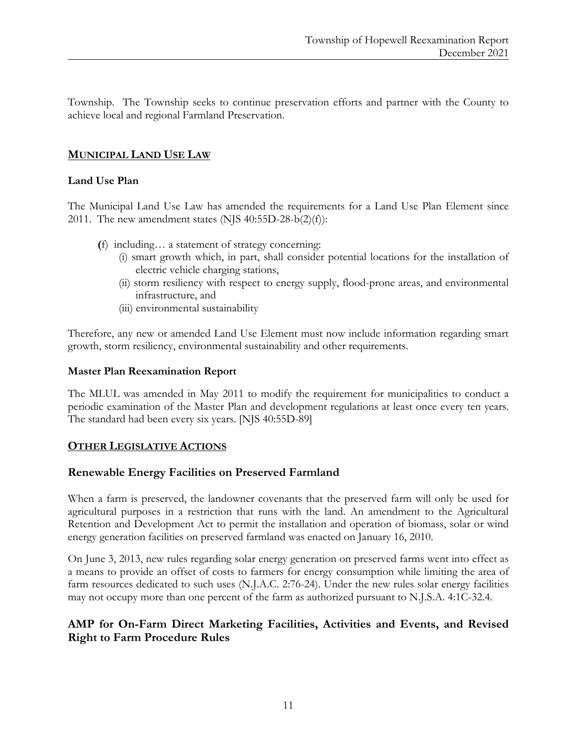Township. The Township seeks to continue preservation efforts and partner with the County to achieve local and regional Farmland Preservation.

# **MUNICIPAL LAND USE LAW**

#### **Land Use Plan**

The Municipal Land Use Law has amended the requirements for a Land Use Plan Element since 2011. The new amendment states (NJS  $40:55D-28-b(2)(f)$ ):

- **(**f) including… a statement of strategy concerning:
	- (i) smart growth which, in part, shall consider potential locations for the installation of electric vehicle charging stations,
	- (ii) storm resiliency with respect to energy supply, flood-prone areas, and environmental infrastructure, and
	- (iii) environmental sustainability

Therefore, any new or amended Land Use Element must now include information regarding smart growth, storm resiliency, environmental sustainability and other requirements.

#### **Master Plan Reexamination Report**

The MLUL was amended in May 2011 to modify the requirement for municipalities to conduct a periodic examination of the Master Plan and development regulations at least once every ten years. The standard had been every six years. [NJS 40:55D-89]

#### **OTHER LEGISLATIVE ACTIONS**

#### **Renewable Energy Facilities on Preserved Farmland**

When a farm is preserved, the landowner covenants that the preserved farm will only be used for agricultural purposes in a restriction that runs with the land. An amendment to the Agricultural Retention and Development Act to permit the installation and operation of biomass, solar or wind energy generation facilities on preserved farmland was enacted on January 16, 2010.

On June 3, 2013, new rules regarding solar energy generation on preserved farms went into effect as a means to provide an offset of costs to farmers for energy consumption while limiting the area of farm resources dedicated to such uses (N.J.A.C. 2:76-24). Under the new rules solar energy facilities may not occupy more than one percent of the farm as authorized pursuant to N.J.S.A. 4:1C-32.4.

# **AMP for On-Farm Direct Marketing Facilities, Activities and Events, and Revised Right to Farm Procedure Rules**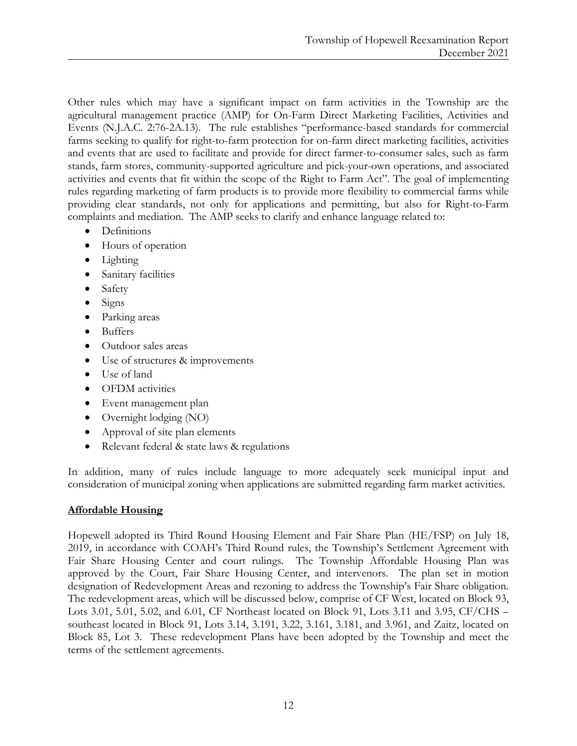Other rules which may have a significant impact on farm activities in the Township are the agricultural management practice (AMP) for On-Farm Direct Marketing Facilities, Activities and Events (N.J.A.C. 2:76-2A.13). The rule establishes "performance-based standards for commercial farms seeking to qualify for right-to-farm protection for on-farm direct marketing facilities, activities and events that are used to facilitate and provide for direct farmer-to-consumer sales, such as farm stands, farm stores, community-supported agriculture and pick-your-own operations, and associated activities and events that fit within the scope of the Right to Farm Act". The goal of implementing rules regarding marketing of farm products is to provide more flexibility to commercial farms while providing clear standards, not only for applications and permitting, but also for Right-to-Farm complaints and mediation. The AMP seeks to clarify and enhance language related to:

- Definitions
- Hours of operation
- Lighting
- Sanitary facilities
- Safety
- Signs
- Parking areas
- Buffers
- Outdoor sales areas
- Use of structures & improvements
- Use of land
- OFDM activities
- Event management plan
- Overnight lodging (NO)
- Approval of site plan elements
- Relevant federal & state laws & regulations

In addition, many of rules include language to more adequately seek municipal input and consideration of municipal zoning when applications are submitted regarding farm market activities.

# **Affordable Housing**

Hopewell adopted its Third Round Housing Element and Fair Share Plan (HE/FSP) on July 18, 2019, in accordance with COAH's Third Round rules, the Township's Settlement Agreement with Fair Share Housing Center and court rulings. The Township Affordable Housing Plan was approved by the Court, Fair Share Housing Center, and intervenors. The plan set in motion designation of Redevelopment Areas and rezoning to address the Township's Fair Share obligation. The redevelopment areas, which will be discussed below, comprise of CF West, located on Block 93, Lots 3.01, 5.01, 5.02, and 6.01, CF Northeast located on Block 91, Lots 3.11 and 3.95, CF/CHS – southeast located in Block 91, Lots 3.14, 3.191, 3.22, 3.161, 3.181, and 3.961, and Zaitz, located on Block 85, Lot 3. These redevelopment Plans have been adopted by the Township and meet the terms of the settlement agreements.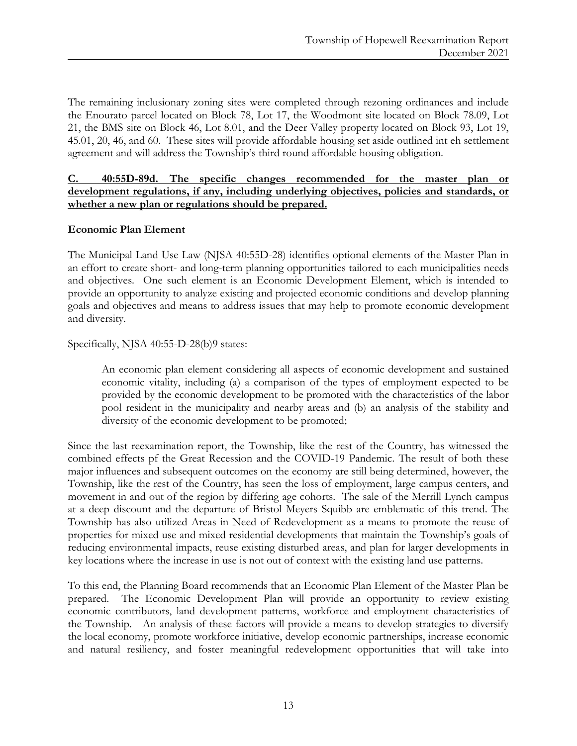The remaining inclusionary zoning sites were completed through rezoning ordinances and include the Enourato parcel located on Block 78, Lot 17, the Woodmont site located on Block 78.09, Lot 21, the BMS site on Block 46, Lot 8.01, and the Deer Valley property located on Block 93, Lot 19, 45.01, 20, 46, and 60. These sites will provide affordable housing set aside outlined int eh settlement agreement and will address the Township's third round affordable housing obligation.

**C. 40:55D-89d. The specific changes recommended for the master plan or development regulations, if any, including underlying objectives, policies and standards, or whether a new plan or regulations should be prepared.**

#### **Economic Plan Element**

The Municipal Land Use Law (NJSA 40:55D-28) identifies optional elements of the Master Plan in an effort to create short- and long-term planning opportunities tailored to each municipalities needs and objectives. One such element is an Economic Development Element, which is intended to provide an opportunity to analyze existing and projected economic conditions and develop planning goals and objectives and means to address issues that may help to promote economic development and diversity.

Specifically, NJSA 40:55-D-28(b)9 states:

An economic plan element considering all aspects of economic development and sustained economic vitality, including (a) a comparison of the types of employment expected to be provided by the economic development to be promoted with the characteristics of the labor pool resident in the municipality and nearby areas and (b) an analysis of the stability and diversity of the economic development to be promoted;

Since the last reexamination report, the Township, like the rest of the Country, has witnessed the combined effects pf the Great Recession and the COVID-19 Pandemic. The result of both these major influences and subsequent outcomes on the economy are still being determined, however, the Township, like the rest of the Country, has seen the loss of employment, large campus centers, and movement in and out of the region by differing age cohorts. The sale of the Merrill Lynch campus at a deep discount and the departure of Bristol Meyers Squibb are emblematic of this trend. The Township has also utilized Areas in Need of Redevelopment as a means to promote the reuse of properties for mixed use and mixed residential developments that maintain the Township's goals of reducing environmental impacts, reuse existing disturbed areas, and plan for larger developments in key locations where the increase in use is not out of context with the existing land use patterns.

To this end, the Planning Board recommends that an Economic Plan Element of the Master Plan be prepared. The Economic Development Plan will provide an opportunity to review existing economic contributors, land development patterns, workforce and employment characteristics of the Township. An analysis of these factors will provide a means to develop strategies to diversify the local economy, promote workforce initiative, develop economic partnerships, increase economic and natural resiliency, and foster meaningful redevelopment opportunities that will take into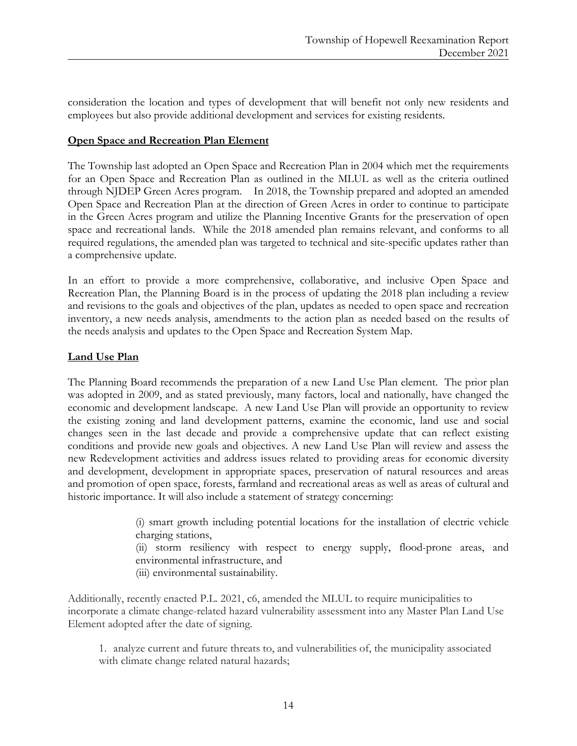consideration the location and types of development that will benefit not only new residents and employees but also provide additional development and services for existing residents.

#### **Open Space and Recreation Plan Element**

The Township last adopted an Open Space and Recreation Plan in 2004 which met the requirements for an Open Space and Recreation Plan as outlined in the MLUL as well as the criteria outlined through NJDEP Green Acres program. In 2018, the Township prepared and adopted an amended Open Space and Recreation Plan at the direction of Green Acres in order to continue to participate in the Green Acres program and utilize the Planning Incentive Grants for the preservation of open space and recreational lands. While the 2018 amended plan remains relevant, and conforms to all required regulations, the amended plan was targeted to technical and site-specific updates rather than a comprehensive update.

In an effort to provide a more comprehensive, collaborative, and inclusive Open Space and Recreation Plan, the Planning Board is in the process of updating the 2018 plan including a review and revisions to the goals and objectives of the plan, updates as needed to open space and recreation inventory, a new needs analysis, amendments to the action plan as needed based on the results of the needs analysis and updates to the Open Space and Recreation System Map.

#### **Land Use Plan**

The Planning Board recommends the preparation of a new Land Use Plan element. The prior plan was adopted in 2009, and as stated previously, many factors, local and nationally, have changed the economic and development landscape. A new Land Use Plan will provide an opportunity to review the existing zoning and land development patterns, examine the economic, land use and social changes seen in the last decade and provide a comprehensive update that can reflect existing conditions and provide new goals and objectives. A new Land Use Plan will review and assess the new Redevelopment activities and address issues related to providing areas for economic diversity and development, development in appropriate spaces, preservation of natural resources and areas and promotion of open space, forests, farmland and recreational areas as well as areas of cultural and historic importance. It will also include a statement of strategy concerning:

> (i) smart growth including potential locations for the installation of electric vehicle charging stations,

> (ii) storm resiliency with respect to energy supply, flood-prone areas, and environmental infrastructure, and

(iii) environmental sustainability.

Additionally, recently enacted P.L. 2021, c6, amended the MLUL to require municipalities to incorporate a climate change-related hazard vulnerability assessment into any Master Plan Land Use Element adopted after the date of signing.

1. analyze current and future threats to, and vulnerabilities of, the municipality associated with climate change related natural hazards;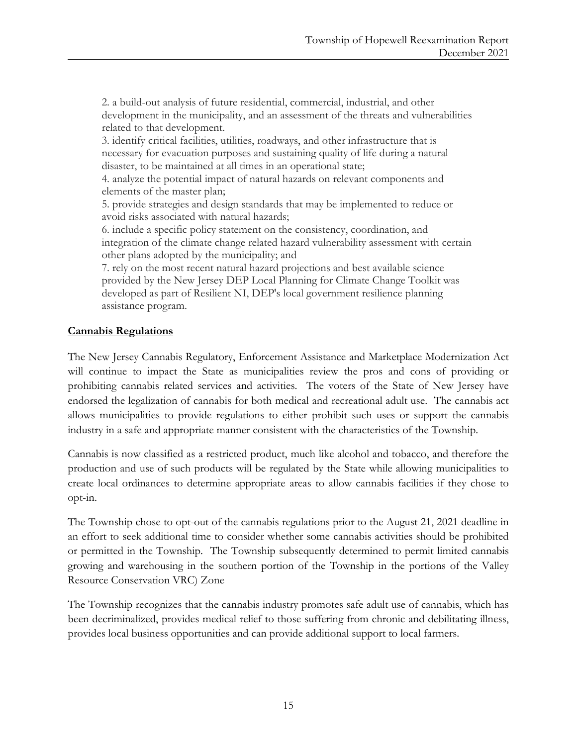2. a build-out analysis of future residential, commercial, industrial, and other development in the municipality, and an assessment of the threats and vulnerabilities related to that development.

3. identify critical facilities, utilities, roadways, and other infrastructure that is necessary for evacuation purposes and sustaining quality of life during a natural disaster, to be maintained at all times in an operational state;

4. analyze the potential impact of natural hazards on relevant components and elements of the master plan;

5. provide strategies and design standards that may be implemented to reduce or avoid risks associated with natural hazards;

6. include a specific policy statement on the consistency, coordination, and integration of the climate change related hazard vulnerability assessment with certain other plans adopted by the municipality; and

7. rely on the most recent natural hazard projections and best available science provided by the New Jersey DEP Local Planning for Climate Change Toolkit was developed as part of Resilient NI, DEP's local government resilience planning assistance program.

# **Cannabis Regulations**

The New Jersey Cannabis Regulatory, Enforcement Assistance and Marketplace Modernization Act will continue to impact the State as municipalities review the pros and cons of providing or prohibiting cannabis related services and activities. The voters of the State of New Jersey have endorsed the legalization of cannabis for both medical and recreational adult use. The cannabis act allows municipalities to provide regulations to either prohibit such uses or support the cannabis industry in a safe and appropriate manner consistent with the characteristics of the Township.

Cannabis is now classified as a restricted product, much like alcohol and tobacco, and therefore the production and use of such products will be regulated by the State while allowing municipalities to create local ordinances to determine appropriate areas to allow cannabis facilities if they chose to opt-in.

The Township chose to opt-out of the cannabis regulations prior to the August 21, 2021 deadline in an effort to seek additional time to consider whether some cannabis activities should be prohibited or permitted in the Township. The Township subsequently determined to permit limited cannabis growing and warehousing in the southern portion of the Township in the portions of the Valley Resource Conservation VRC) Zone

The Township recognizes that the cannabis industry promotes safe adult use of cannabis, which has been decriminalized, provides medical relief to those suffering from chronic and debilitating illness, provides local business opportunities and can provide additional support to local farmers.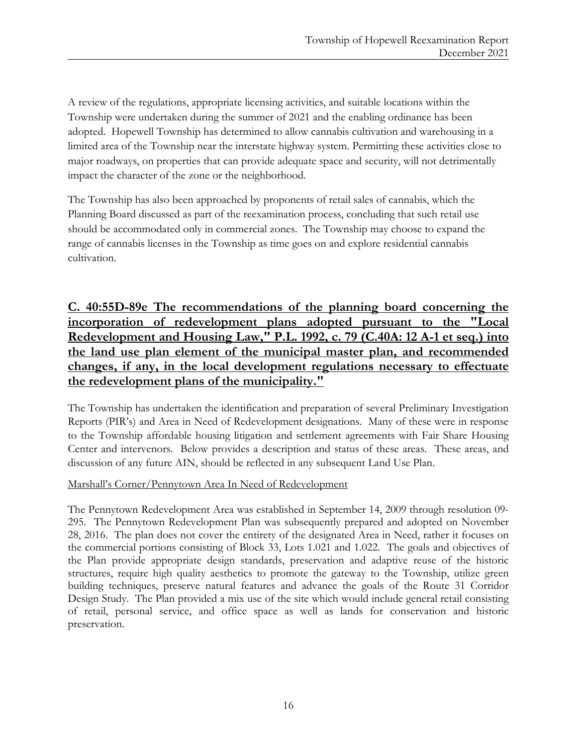A review of the regulations, appropriate licensing activities, and suitable locations within the Township were undertaken during the summer of 2021 and the enabling ordinance has been adopted. Hopewell Township has determined to allow cannabis cultivation and warehousing in a limited area of the Township near the interstate highway system. Permitting these activities close to major roadways, on properties that can provide adequate space and security, will not detrimentally impact the character of the zone or the neighborhood.

The Township has also been approached by proponents of retail sales of cannabis, which the Planning Board discussed as part of the reexamination process, concluding that such retail use should be accommodated only in commercial zones. The Township may choose to expand the range of cannabis licenses in the Township as time goes on and explore residential cannabis cultivation.

# **C. 40:55D-89e The recommendations of the planning board concerning the incorporation of redevelopment plans adopted pursuant to the "Local Redevelopment and Housing Law," P.L. 1992, c. 79 (C.40A: 12 A-1 et seq.) into the land use plan element of the municipal master plan, and recommended changes, if any, in the local development regulations necessary to effectuate the redevelopment plans of the municipality."**

The Township has undertaken the identification and preparation of several Preliminary Investigation Reports (PIR's) and Area in Need of Redevelopment designations. Many of these were in response to the Township affordable housing litigation and settlement agreements with Fair Share Housing Center and intervenors. Below provides a description and status of these areas. These areas, and discussion of any future AIN, should be reflected in any subsequent Land Use Plan.

# Marshall's Corner/Pennytown Area In Need of Redevelopment

The Pennytown Redevelopment Area was established in September 14, 2009 through resolution 09- 295. The Pennytown Redevelopment Plan was subsequently prepared and adopted on November 28, 2016. The plan does not cover the entirety of the designated Area in Need, rather it focuses on the commercial portions consisting of Block 33, Lots 1.021 and 1.022. The goals and objectives of the Plan provide appropriate design standards, preservation and adaptive reuse of the historic structures, require high quality aesthetics to promote the gateway to the Township, utilize green building techniques, preserve natural features and advance the goals of the Route 31 Corridor Design Study. The Plan provided a mix use of the site which would include general retail consisting of retail, personal service, and office space as well as lands for conservation and historic preservation.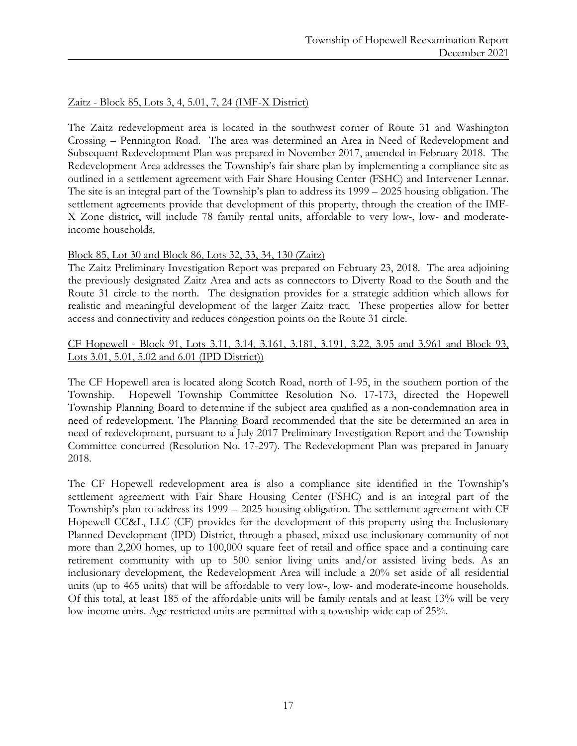#### Zaitz - Block 85, Lots 3, 4, 5.01, 7, 24 (IMF-X District)

The Zaitz redevelopment area is located in the southwest corner of Route 31 and Washington Crossing – Pennington Road. The area was determined an Area in Need of Redevelopment and Subsequent Redevelopment Plan was prepared in November 2017, amended in February 2018. The Redevelopment Area addresses the Township's fair share plan by implementing a compliance site as outlined in a settlement agreement with Fair Share Housing Center (FSHC) and Intervener Lennar. The site is an integral part of the Township's plan to address its 1999 – 2025 housing obligation. The settlement agreements provide that development of this property, through the creation of the IMF-X Zone district, will include 78 family rental units, affordable to very low-, low- and moderateincome households.

#### Block 85, Lot 30 and Block 86, Lots 32, 33, 34, 130 (Zaitz)

The Zaitz Preliminary Investigation Report was prepared on February 23, 2018. The area adjoining the previously designated Zaitz Area and acts as connectors to Diverty Road to the South and the Route 31 circle to the north. The designation provides for a strategic addition which allows for realistic and meaningful development of the larger Zaitz tract. These properties allow for better access and connectivity and reduces congestion points on the Route 31 circle.

#### CF Hopewell - Block 91, Lots 3.11, 3.14, 3.161, 3.181, 3.191, 3.22, 3.95 and 3.961 and Block 93, Lots 3.01, 5.01, 5.02 and 6.01 (IPD District))

The CF Hopewell area is located along Scotch Road, north of I-95, in the southern portion of the Township. Hopewell Township Committee Resolution No. 17-173, directed the Hopewell Township Planning Board to determine if the subject area qualified as a non-condemnation area in need of redevelopment. The Planning Board recommended that the site be determined an area in need of redevelopment, pursuant to a July 2017 Preliminary Investigation Report and the Township Committee concurred (Resolution No. 17-297). The Redevelopment Plan was prepared in January 2018.

The CF Hopewell redevelopment area is also a compliance site identified in the Township's settlement agreement with Fair Share Housing Center (FSHC) and is an integral part of the Township's plan to address its 1999 – 2025 housing obligation. The settlement agreement with CF Hopewell CC&L, LLC (CF) provides for the development of this property using the Inclusionary Planned Development (IPD) District, through a phased, mixed use inclusionary community of not more than 2,200 homes, up to 100,000 square feet of retail and office space and a continuing care retirement community with up to 500 senior living units and/or assisted living beds. As an inclusionary development, the Redevelopment Area will include a 20% set aside of all residential units (up to 465 units) that will be affordable to very low-, low- and moderate-income households. Of this total, at least 185 of the affordable units will be family rentals and at least 13% will be very low-income units. Age-restricted units are permitted with a township-wide cap of 25%.